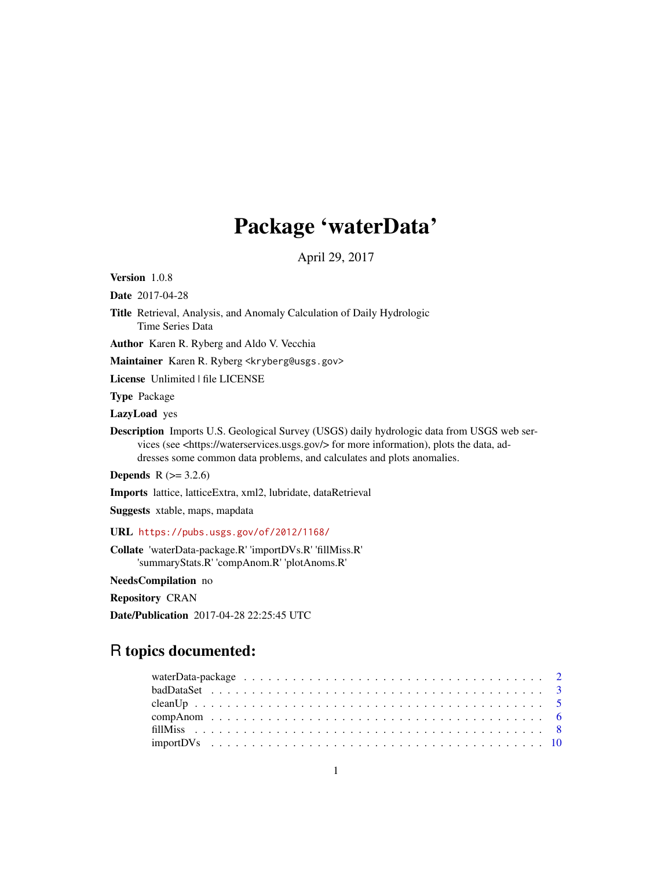## Package 'waterData'

April 29, 2017

<span id="page-0-0"></span>Version 1.0.8

Date 2017-04-28

Title Retrieval, Analysis, and Anomaly Calculation of Daily Hydrologic Time Series Data

Author Karen R. Ryberg and Aldo V. Vecchia

Maintainer Karen R. Ryberg <kryberg@usgs.gov>

License Unlimited | file LICENSE

Type Package

LazyLoad yes

Description Imports U.S. Geological Survey (USGS) daily hydrologic data from USGS web services (see <https://waterservices.usgs.gov/> for more information), plots the data, addresses some common data problems, and calculates and plots anomalies.

**Depends**  $R$  ( $> = 3.2.6$ )

Imports lattice, latticeExtra, xml2, lubridate, dataRetrieval

Suggests xtable, maps, mapdata

URL <https://pubs.usgs.gov/of/2012/1168/>

Collate 'waterData-package.R' 'importDVs.R' 'fillMiss.R' 'summaryStats.R' 'compAnom.R' 'plotAnoms.R'

NeedsCompilation no

Repository CRAN

Date/Publication 2017-04-28 22:25:45 UTC

### R topics documented: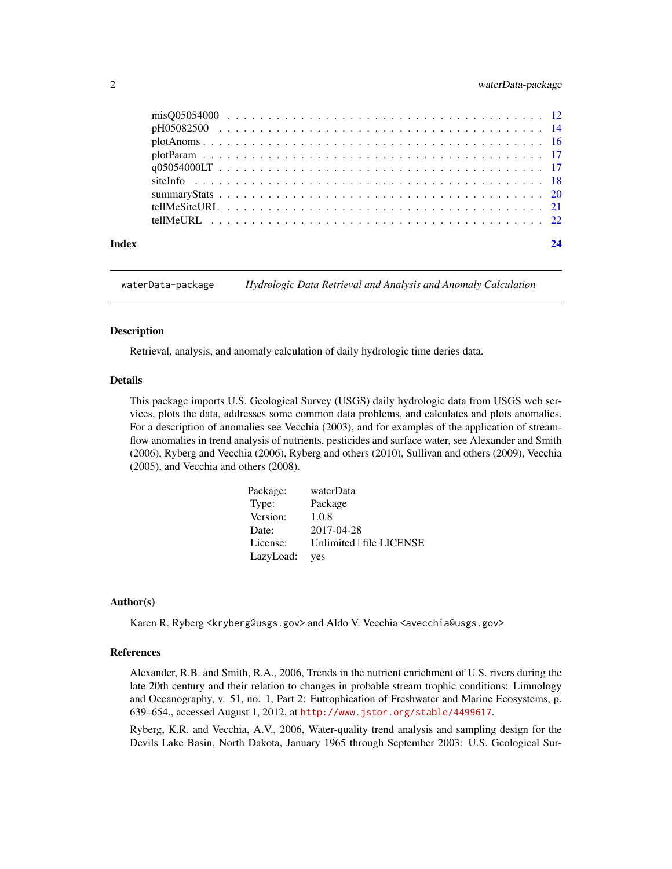#### <span id="page-1-0"></span>2 waterData-package

| Index |                   |  |
|-------|-------------------|--|
|       |                   |  |
|       |                   |  |
|       |                   |  |
|       |                   |  |
|       |                   |  |
|       |                   |  |
|       |                   |  |
|       |                   |  |
|       | $misQ05054000 12$ |  |

waterData-package *Hydrologic Data Retrieval and Analysis and Anomaly Calculation*

#### Description

Retrieval, analysis, and anomaly calculation of daily hydrologic time deries data.

#### Details

This package imports U.S. Geological Survey (USGS) daily hydrologic data from USGS web services, plots the data, addresses some common data problems, and calculates and plots anomalies. For a description of anomalies see Vecchia (2003), and for examples of the application of streamflow anomalies in trend analysis of nutrients, pesticides and surface water, see Alexander and Smith (2006), Ryberg and Vecchia (2006), Ryberg and others (2010), Sullivan and others (2009), Vecchia (2005), and Vecchia and others (2008).

| Package:  | waterData                |
|-----------|--------------------------|
| Type:     | Package                  |
| Version:  | 1.0.8                    |
| Date:     | 2017-04-28               |
| License:  | Unlimited   file LICENSE |
| LazyLoad: | yes                      |

#### Author(s)

Karen R. Ryberg <kryberg@usgs.gov> and Aldo V. Vecchia <avecchia@usgs.gov>

#### References

Alexander, R.B. and Smith, R.A., 2006, Trends in the nutrient enrichment of U.S. rivers during the late 20th century and their relation to changes in probable stream trophic conditions: Limnology and Oceanography, v. 51, no. 1, Part 2: Eutrophication of Freshwater and Marine Ecosystems, p. 639–654., accessed August 1, 2012, at <http://www.jstor.org/stable/4499617>.

Ryberg, K.R. and Vecchia, A.V., 2006, Water-quality trend analysis and sampling design for the Devils Lake Basin, North Dakota, January 1965 through September 2003: U.S. Geological Sur-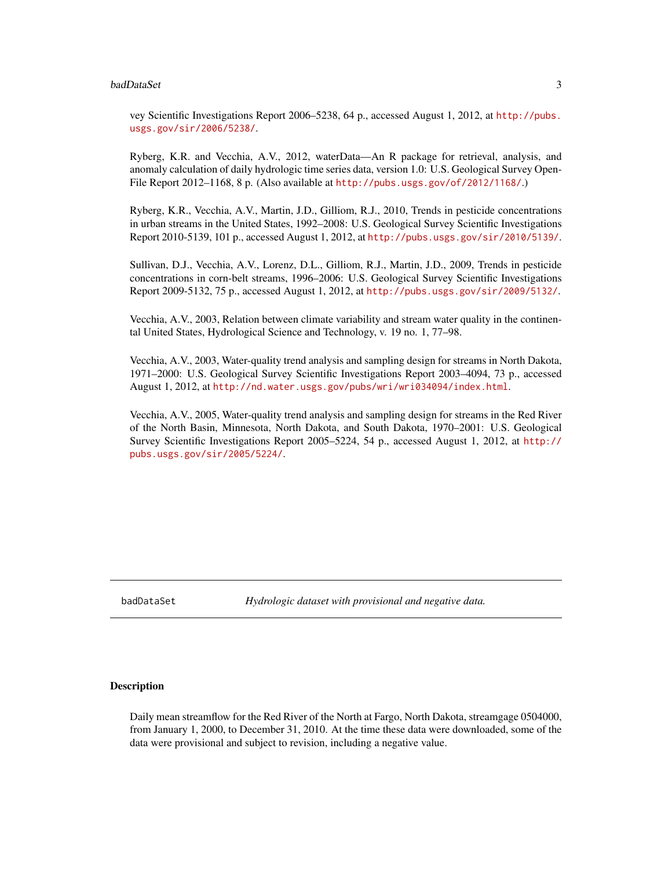#### <span id="page-2-0"></span>badDataSet 3

vey Scientific Investigations Report 2006–5238, 64 p., accessed August 1, 2012, at [http://pubs.](http://pubs.usgs.gov/sir/2006/5238/) [usgs.gov/sir/2006/5238/](http://pubs.usgs.gov/sir/2006/5238/).

Ryberg, K.R. and Vecchia, A.V., 2012, waterData—An R package for retrieval, analysis, and anomaly calculation of daily hydrologic time series data, version 1.0: U.S. Geological Survey Open-File Report 2012–1168, 8 p. (Also available at <http://pubs.usgs.gov/of/2012/1168/>.)

Ryberg, K.R., Vecchia, A.V., Martin, J.D., Gilliom, R.J., 2010, Trends in pesticide concentrations in urban streams in the United States, 1992–2008: U.S. Geological Survey Scientific Investigations Report 2010-5139, 101 p., accessed August 1, 2012, at <http://pubs.usgs.gov/sir/2010/5139/>.

Sullivan, D.J., Vecchia, A.V., Lorenz, D.L., Gilliom, R.J., Martin, J.D., 2009, Trends in pesticide concentrations in corn-belt streams, 1996–2006: U.S. Geological Survey Scientific Investigations Report 2009-5132, 75 p., accessed August 1, 2012, at <http://pubs.usgs.gov/sir/2009/5132/>.

Vecchia, A.V., 2003, Relation between climate variability and stream water quality in the continental United States, Hydrological Science and Technology, v. 19 no. 1, 77–98.

Vecchia, A.V., 2003, Water-quality trend analysis and sampling design for streams in North Dakota, 1971–2000: U.S. Geological Survey Scientific Investigations Report 2003–4094, 73 p., accessed August 1, 2012, at <http://nd.water.usgs.gov/pubs/wri/wri034094/index.html>.

Vecchia, A.V., 2005, Water-quality trend analysis and sampling design for streams in the Red River of the North Basin, Minnesota, North Dakota, and South Dakota, 1970–2001: U.S. Geological Survey Scientific Investigations Report 2005–5224, 54 p., accessed August 1, 2012, at [http://](http://pubs.usgs.gov/sir/2005/5224/) [pubs.usgs.gov/sir/2005/5224/](http://pubs.usgs.gov/sir/2005/5224/).

badDataSet *Hydrologic dataset with provisional and negative data.*

#### **Description**

Daily mean streamflow for the Red River of the North at Fargo, North Dakota, streamgage 0504000, from January 1, 2000, to December 31, 2010. At the time these data were downloaded, some of the data were provisional and subject to revision, including a negative value.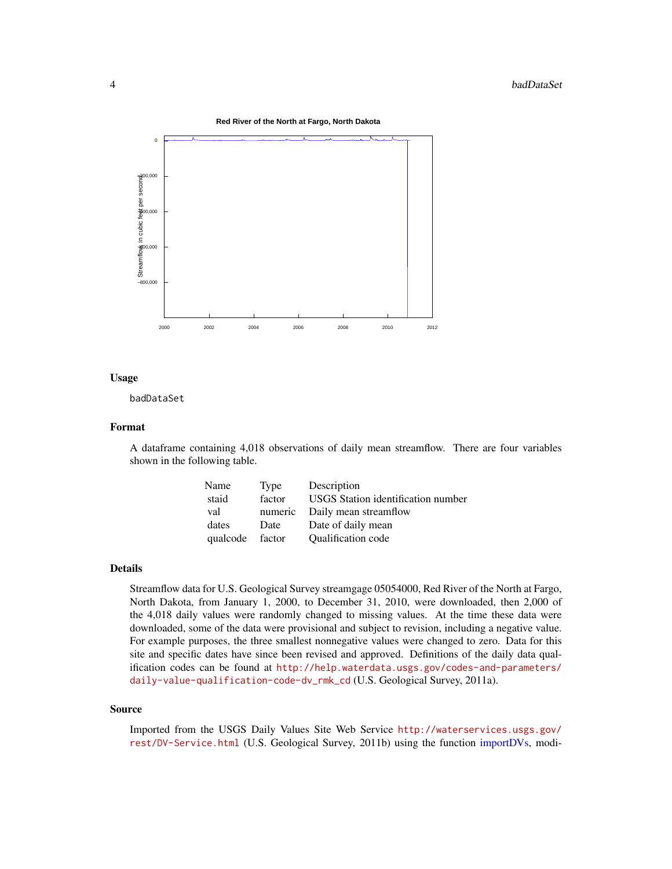#### <span id="page-3-0"></span>4 badDataSet



#### **Red River of the North at Fargo, North Dakota**

#### Usage

badDataSet

#### Format

A dataframe containing 4,018 observations of daily mean streamflow. There are four variables shown in the following table.

| Name            | Type    | Description                        |
|-----------------|---------|------------------------------------|
| staid           | factor  | USGS Station identification number |
| val             | numeric | Daily mean streamflow              |
| dates           | Date    | Date of daily mean                 |
| qualcode factor |         | <b>Oualification code</b>          |

#### Details

Streamflow data for U.S. Geological Survey streamgage 05054000, Red River of the North at Fargo, North Dakota, from January 1, 2000, to December 31, 2010, were downloaded, then 2,000 of the 4,018 daily values were randomly changed to missing values. At the time these data were downloaded, some of the data were provisional and subject to revision, including a negative value. For example purposes, the three smallest nonnegative values were changed to zero. Data for this site and specific dates have since been revised and approved. Definitions of the daily data qualification codes can be found at [http://help.waterdata.usgs.gov/codes-and-parameters/](http://help.waterdata.usgs.gov/codes-and-parameters/daily-value-qualification-code-dv_rmk_cd) [daily-value-qualification-code-dv\\_rmk\\_cd](http://help.waterdata.usgs.gov/codes-and-parameters/daily-value-qualification-code-dv_rmk_cd) (U.S. Geological Survey, 2011a).

#### Source

Imported from the USGS Daily Values Site Web Service [http://waterservices.usgs.gov/](http://waterservices.usgs.gov/rest/DV-Service.html) [rest/DV-Service.html](http://waterservices.usgs.gov/rest/DV-Service.html) (U.S. Geological Survey, 2011b) using the function [importDVs,](#page-9-1) modi-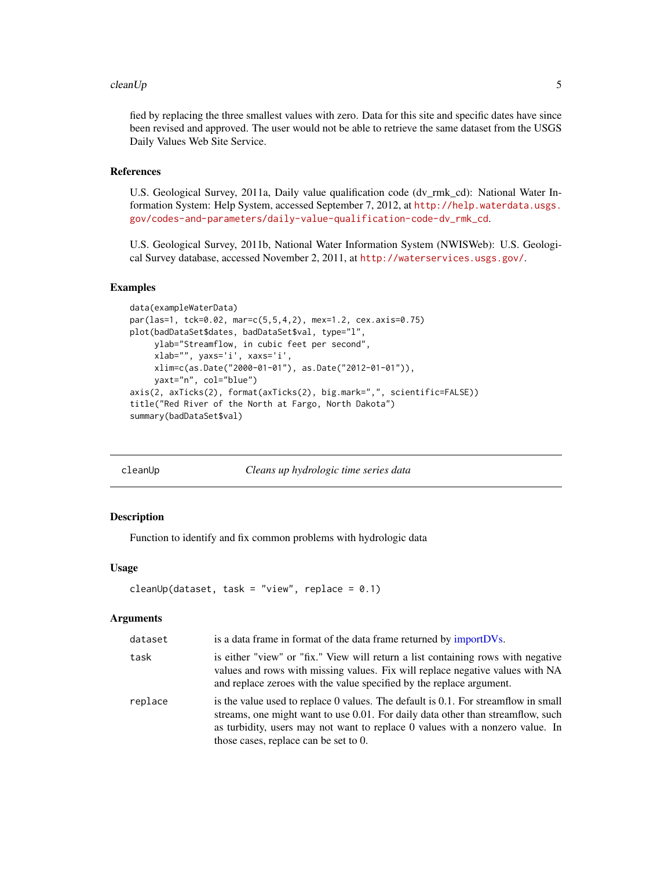#### <span id="page-4-0"></span> $cleanUp$  5

fied by replacing the three smallest values with zero. Data for this site and specific dates have since been revised and approved. The user would not be able to retrieve the same dataset from the USGS Daily Values Web Site Service.

#### References

U.S. Geological Survey, 2011a, Daily value qualification code (dv\_rmk\_cd): National Water Information System: Help System, accessed September 7, 2012, at [http://help.waterdata.usgs.](http://help.waterdata.usgs.gov/codes-and-parameters/daily-value-qualification-code-dv_rmk_cd) [gov/codes-and-parameters/daily-value-qualification-code-dv\\_rmk\\_cd](http://help.waterdata.usgs.gov/codes-and-parameters/daily-value-qualification-code-dv_rmk_cd).

U.S. Geological Survey, 2011b, National Water Information System (NWISWeb): U.S. Geological Survey database, accessed November 2, 2011, at <http://waterservices.usgs.gov/>.

#### Examples

```
data(exampleWaterData)
par(las=1, tck=0.02, mar=c(5,5,4,2), mex=1.2, cex.axis=0.75)
plot(badDataSet$dates, badDataSet$val, type="l",
     ylab="Streamflow, in cubic feet per second",
     xlab="", yaxs='i', xaxs='i',
     xlim=c(as.Date("2000-01-01"), as.Date("2012-01-01")),
    yaxt="n", col="blue")
axis(2, axTicks(2), format(axTicks(2), big.mark=",", scientific=FALSE))
title("Red River of the North at Fargo, North Dakota")
summary(badDataSet$val)
```
<span id="page-4-1"></span>cleanUp *Cleans up hydrologic time series data*

#### Description

Function to identify and fix common problems with hydrologic data

#### Usage

```
cleanUp(dataset, task = "view", replace = 0.1)
```
#### Arguments

| dataset | is a data frame in format of the data frame returned by importDVs.                                                                                                                                                                                                                              |
|---------|-------------------------------------------------------------------------------------------------------------------------------------------------------------------------------------------------------------------------------------------------------------------------------------------------|
| task    | is either "view" or "fix." View will return a list containing rows with negative<br>values and rows with missing values. Fix will replace negative values with NA<br>and replace zeroes with the value specified by the replace argument.                                                       |
| replace | is the value used to replace 0 values. The default is 0.1. For streamflow in small<br>streams, one might want to use 0.01. For daily data other than streamflow, such<br>as turbidity, users may not want to replace 0 values with a nonzero value. In<br>those cases, replace can be set to 0. |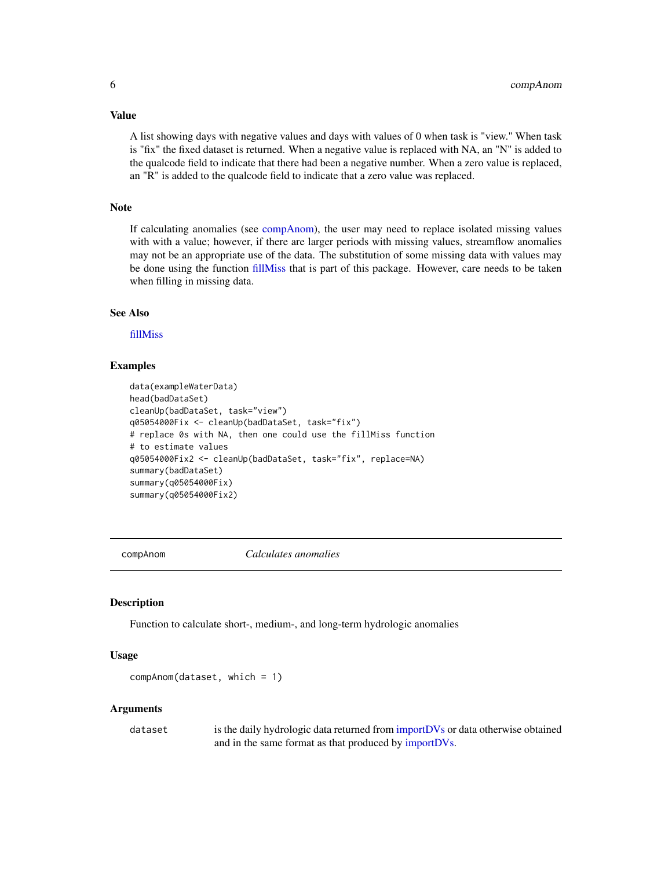A list showing days with negative values and days with values of 0 when task is "view." When task is "fix" the fixed dataset is returned. When a negative value is replaced with NA, an "N" is added to the qualcode field to indicate that there had been a negative number. When a zero value is replaced, an "R" is added to the qualcode field to indicate that a zero value was replaced.

#### Note

If calculating anomalies (see [compAnom\)](#page-5-1), the user may need to replace isolated missing values with with a value; however, if there are larger periods with missing values, streamflow anomalies may not be an appropriate use of the data. The substitution of some missing data with values may be done using the function [fillMiss](#page-7-1) that is part of this package. However, care needs to be taken when filling in missing data.

#### See Also

[fillMiss](#page-7-1)

#### Examples

```
data(exampleWaterData)
head(badDataSet)
cleanUp(badDataSet, task="view")
q05054000Fix <- cleanUp(badDataSet, task="fix")
# replace 0s with NA, then one could use the fillMiss function
# to estimate values
q05054000Fix2 <- cleanUp(badDataSet, task="fix", replace=NA)
summary(badDataSet)
summary(q05054000Fix)
summary(q05054000Fix2)
```
<span id="page-5-1"></span>compAnom *Calculates anomalies*

#### Description

Function to calculate short-, medium-, and long-term hydrologic anomalies

#### Usage

```
compAnom(dataset, which = 1)
```
#### Arguments

| dataset | is the daily hydrologic data returned from importDVs or data otherwise obtained |
|---------|---------------------------------------------------------------------------------|
|         | and in the same format as that produced by importDVs.                           |

#### <span id="page-5-0"></span>Value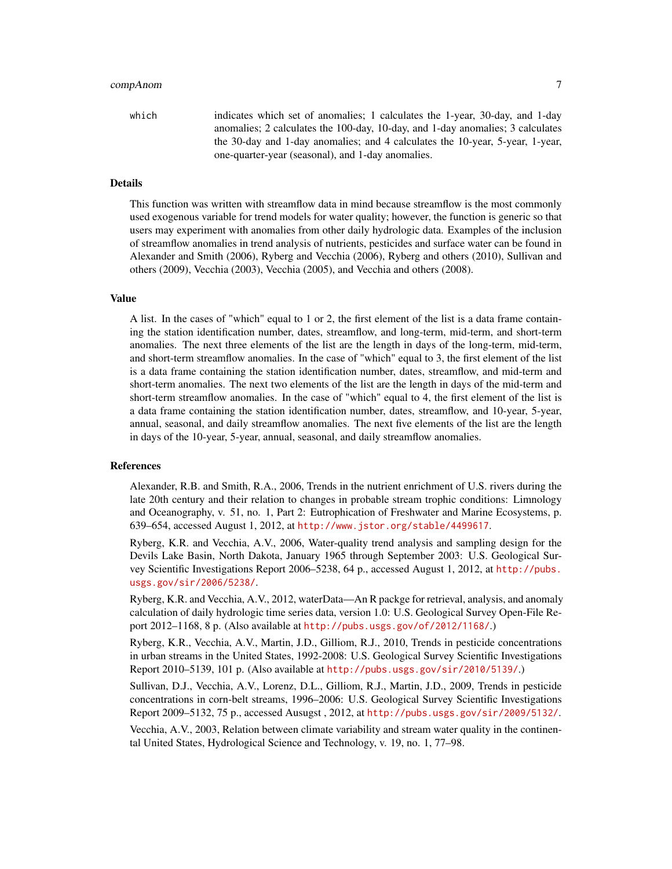#### compAnom 7

which indicates which set of anomalies; 1 calculates the 1-year, 30-day, and 1-day anomalies; 2 calculates the 100-day, 10-day, and 1-day anomalies; 3 calculates the 30-day and 1-day anomalies; and 4 calculates the 10-year, 5-year, 1-year, one-quarter-year (seasonal), and 1-day anomalies.

#### Details

This function was written with streamflow data in mind because streamflow is the most commonly used exogenous variable for trend models for water quality; however, the function is generic so that users may experiment with anomalies from other daily hydrologic data. Examples of the inclusion of streamflow anomalies in trend analysis of nutrients, pesticides and surface water can be found in Alexander and Smith (2006), Ryberg and Vecchia (2006), Ryberg and others (2010), Sullivan and others (2009), Vecchia (2003), Vecchia (2005), and Vecchia and others (2008).

#### Value

A list. In the cases of "which" equal to 1 or 2, the first element of the list is a data frame containing the station identification number, dates, streamflow, and long-term, mid-term, and short-term anomalies. The next three elements of the list are the length in days of the long-term, mid-term, and short-term streamflow anomalies. In the case of "which" equal to 3, the first element of the list is a data frame containing the station identification number, dates, streamflow, and mid-term and short-term anomalies. The next two elements of the list are the length in days of the mid-term and short-term streamflow anomalies. In the case of "which" equal to 4, the first element of the list is a data frame containing the station identification number, dates, streamflow, and 10-year, 5-year, annual, seasonal, and daily streamflow anomalies. The next five elements of the list are the length in days of the 10-year, 5-year, annual, seasonal, and daily streamflow anomalies.

#### References

Alexander, R.B. and Smith, R.A., 2006, Trends in the nutrient enrichment of U.S. rivers during the late 20th century and their relation to changes in probable stream trophic conditions: Limnology and Oceanography, v. 51, no. 1, Part 2: Eutrophication of Freshwater and Marine Ecosystems, p. 639–654, accessed August 1, 2012, at <http://www.jstor.org/stable/4499617>.

Ryberg, K.R. and Vecchia, A.V., 2006, Water-quality trend analysis and sampling design for the Devils Lake Basin, North Dakota, January 1965 through September 2003: U.S. Geological Survey Scientific Investigations Report 2006–5238, 64 p., accessed August 1, 2012, at [http://pubs.](http://pubs.usgs.gov/sir/2006/5238/) [usgs.gov/sir/2006/5238/](http://pubs.usgs.gov/sir/2006/5238/).

Ryberg, K.R. and Vecchia, A.V., 2012, waterData—An R packge for retrieval, analysis, and anomaly calculation of daily hydrologic time series data, version 1.0: U.S. Geological Survey Open-File Report 2012–1168, 8 p. (Also available at <http://pubs.usgs.gov/of/2012/1168/>.)

Ryberg, K.R., Vecchia, A.V., Martin, J.D., Gilliom, R.J., 2010, Trends in pesticide concentrations in urban streams in the United States, 1992-2008: U.S. Geological Survey Scientific Investigations Report 2010–5139, 101 p. (Also available at <http://pubs.usgs.gov/sir/2010/5139/>.)

Sullivan, D.J., Vecchia, A.V., Lorenz, D.L., Gilliom, R.J., Martin, J.D., 2009, Trends in pesticide concentrations in corn-belt streams, 1996–2006: U.S. Geological Survey Scientific Investigations Report 2009–5132, 75 p., accessed Ausugst , 2012, at <http://pubs.usgs.gov/sir/2009/5132/>.

Vecchia, A.V., 2003, Relation between climate variability and stream water quality in the continental United States, Hydrological Science and Technology, v. 19, no. 1, 77–98.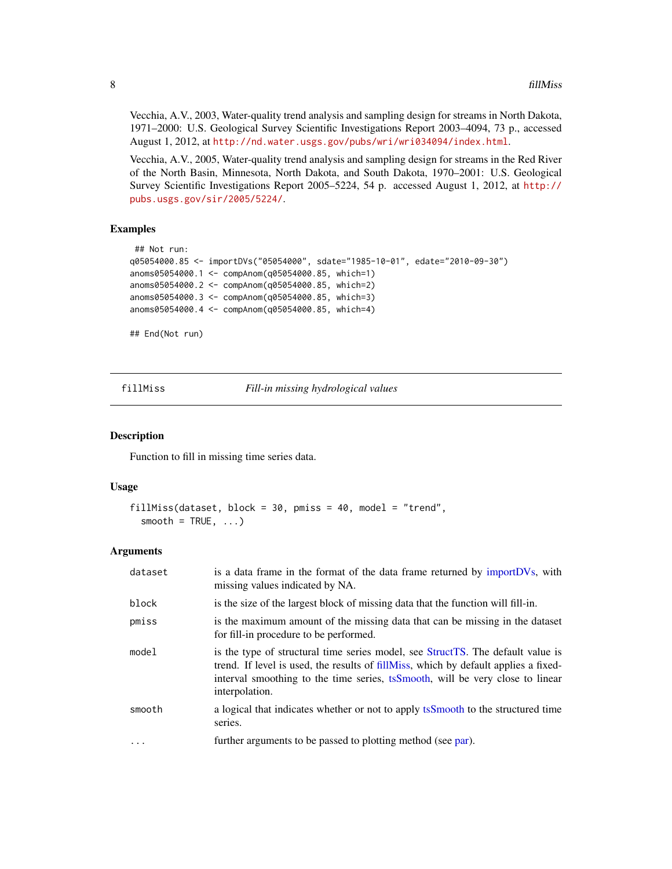Vecchia, A.V., 2003, Water-quality trend analysis and sampling design for streams in North Dakota, 1971–2000: U.S. Geological Survey Scientific Investigations Report 2003–4094, 73 p., accessed August 1, 2012, at <http://nd.water.usgs.gov/pubs/wri/wri034094/index.html>.

Vecchia, A.V., 2005, Water-quality trend analysis and sampling design for streams in the Red River of the North Basin, Minnesota, North Dakota, and South Dakota, 1970–2001: U.S. Geological Survey Scientific Investigations Report 2005–5224, 54 p. accessed August 1, 2012, at [http://](http://pubs.usgs.gov/sir/2005/5224/) [pubs.usgs.gov/sir/2005/5224/](http://pubs.usgs.gov/sir/2005/5224/).

#### Examples

```
## Not run:
q05054000.85 <- importDVs("05054000", sdate="1985-10-01", edate="2010-09-30")
anoms05054000.1 <- compAnom(q05054000.85, which=1)
anoms05054000.2 <- compAnom(q05054000.85, which=2)
anoms05054000.3 <- compAnom(q05054000.85, which=3)
anoms05054000.4 <- compAnom(q05054000.85, which=4)
## End(Not run)
```
<span id="page-7-1"></span>

fillMiss *Fill-in missing hydrological values*

#### Description

Function to fill in missing time series data.

#### Usage

```
fillMiss(dataset, block = 30, pmiss = 40, model = "trend",
  smooth = TRUE, \ldots)
```
#### Arguments

| dataset | is a data frame in the format of the data frame returned by importDVs, with<br>missing values indicated by NA.                                                                                                                                                             |
|---------|----------------------------------------------------------------------------------------------------------------------------------------------------------------------------------------------------------------------------------------------------------------------------|
| block   | is the size of the largest block of missing data that the function will fill-in.                                                                                                                                                                                           |
| pmiss   | is the maximum amount of the missing data that can be missing in the dataset<br>for fill-in procedure to be performed.                                                                                                                                                     |
| model   | is the type of structural time series model, see StructTS. The default value is<br>trend. If level is used, the results of fillMiss, which by default applies a fixed-<br>interval smoothing to the time series, ts Smooth, will be very close to linear<br>interpolation. |
| smooth  | a logical that indicates whether or not to apply tsSmooth to the structured time<br>series.                                                                                                                                                                                |
| .       | further arguments to be passed to plotting method (see par).                                                                                                                                                                                                               |

<span id="page-7-0"></span>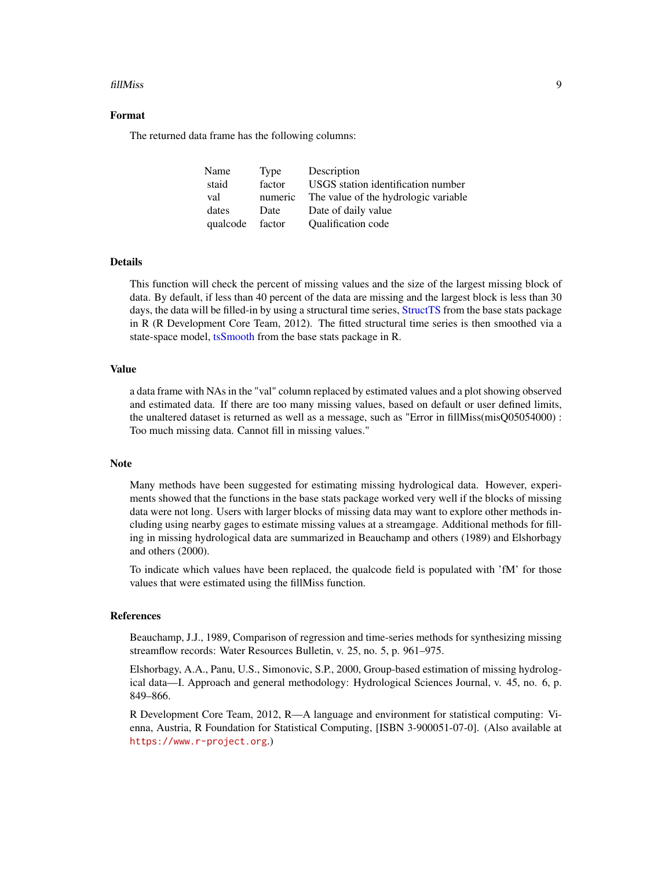#### fillMiss 9

#### Format

The returned data frame has the following columns:

| Name     | Type    | Description                          |
|----------|---------|--------------------------------------|
| staid    | factor  | USGS station identification number   |
| val      | numeric | The value of the hydrologic variable |
| dates    | Date    | Date of daily value                  |
| qualcode | factor  | <b>Oualification code</b>            |

#### **Details**

This function will check the percent of missing values and the size of the largest missing block of data. By default, if less than 40 percent of the data are missing and the largest block is less than 30 days, the data will be filled-in by using a structural time series, [StructTS](#page-0-0) from the base stats package in R (R Development Core Team, 2012). The fitted structural time series is then smoothed via a state-space model, [tsSmooth](#page-0-0) from the base stats package in R.

#### Value

a data frame with NAs in the "val" column replaced by estimated values and a plot showing observed and estimated data. If there are too many missing values, based on default or user defined limits, the unaltered dataset is returned as well as a message, such as "Error in fillMiss(misQ05054000) : Too much missing data. Cannot fill in missing values."

#### **Note**

Many methods have been suggested for estimating missing hydrological data. However, experiments showed that the functions in the base stats package worked very well if the blocks of missing data were not long. Users with larger blocks of missing data may want to explore other methods including using nearby gages to estimate missing values at a streamgage. Additional methods for filling in missing hydrological data are summarized in Beauchamp and others (1989) and Elshorbagy and others (2000).

To indicate which values have been replaced, the qualcode field is populated with 'fM' for those values that were estimated using the fillMiss function.

#### References

Beauchamp, J.J., 1989, Comparison of regression and time-series methods for synthesizing missing streamflow records: Water Resources Bulletin, v. 25, no. 5, p. 961–975.

Elshorbagy, A.A., Panu, U.S., Simonovic, S.P., 2000, Group-based estimation of missing hydrological data—I. Approach and general methodology: Hydrological Sciences Journal, v. 45, no. 6, p. 849–866.

R Development Core Team, 2012, R—A language and environment for statistical computing: Vienna, Austria, R Foundation for Statistical Computing, [ISBN 3-900051-07-0]. (Also available at <https://www.r-project.org>.)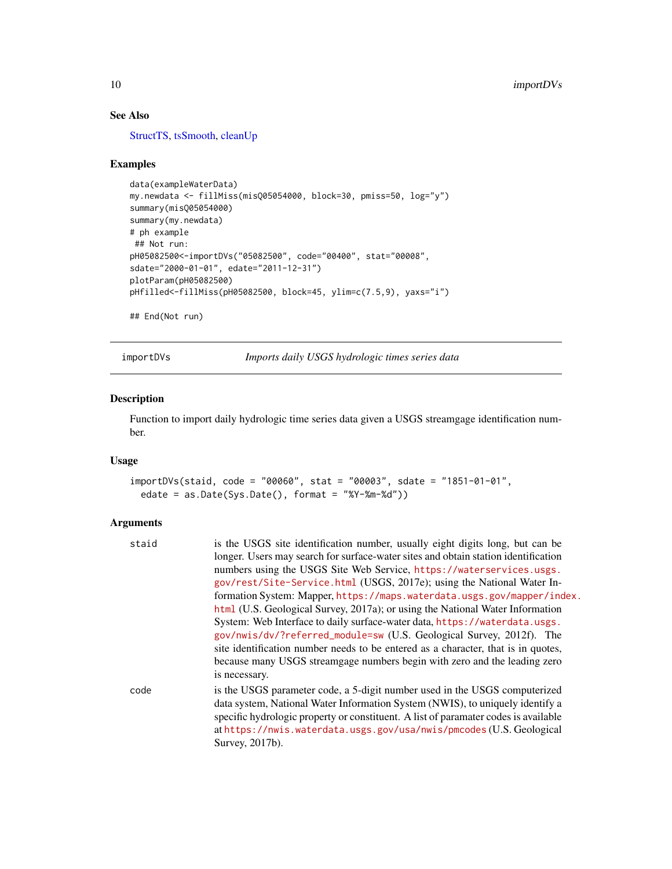#### See Also

[StructTS,](#page-0-0) [tsSmooth,](#page-0-0) [cleanUp](#page-4-1)

#### Examples

```
data(exampleWaterData)
my.newdata <- fillMiss(misQ05054000, block=30, pmiss=50, log="y")
summary(misQ05054000)
summary(my.newdata)
# ph example
## Not run:
pH05082500<-importDVs("05082500", code="00400", stat="00008",
sdate="2000-01-01", edate="2011-12-31")
plotParam(pH05082500)
pHfilled<-fillMiss(pH05082500, block=45, ylim=c(7.5,9), yaxs="i")
## End(Not run)
```
<span id="page-9-1"></span>importDVs *Imports daily USGS hydrologic times series data*

#### Description

Function to import daily hydrologic time series data given a USGS streamgage identification number.

#### Usage

```
importDVs(staid, code = "00060", stat = "00003", sdate = "1851-01-01",
 edate = as.Date(Sys.Date(), format = "%Y-%m-%d"))
```
#### Arguments

| staid | is the USGS site identification number, usually eight digits long, but can be       |
|-------|-------------------------------------------------------------------------------------|
|       | longer. Users may search for surface-water sites and obtain station identification  |
|       | numbers using the USGS Site Web Service, https://waterservices.usgs.                |
|       | gov/rest/Site-Service.html (USGS, 2017e); using the National Water In-              |
|       | formation System: Mapper, https://maps.waterdata.usgs.gov/mapper/index.             |
|       | html (U.S. Geological Survey, 2017a); or using the National Water Information       |
|       | System: Web Interface to daily surface-water data, https://waterdata.usgs.          |
|       | gov/nwis/dv/?referred_module=sw (U.S. Geological Survey, 2012f). The                |
|       | site identification number needs to be entered as a character, that is in quotes,   |
|       | because many USGS streamgage numbers begin with zero and the leading zero           |
|       | is necessary.                                                                       |
| code  | is the USGS parameter code, a 5-digit number used in the USGS computerized          |
|       | data system, National Water Information System (NWIS), to uniquely identify a       |
|       | specific hydrologic property or constituent. A list of paramater codes is available |
|       | at https://nwis.waterdata.usgs.gov/usa/nwis/pmcodes(U.S. Geological                 |
|       | Survey, 2017b).                                                                     |

<span id="page-9-0"></span>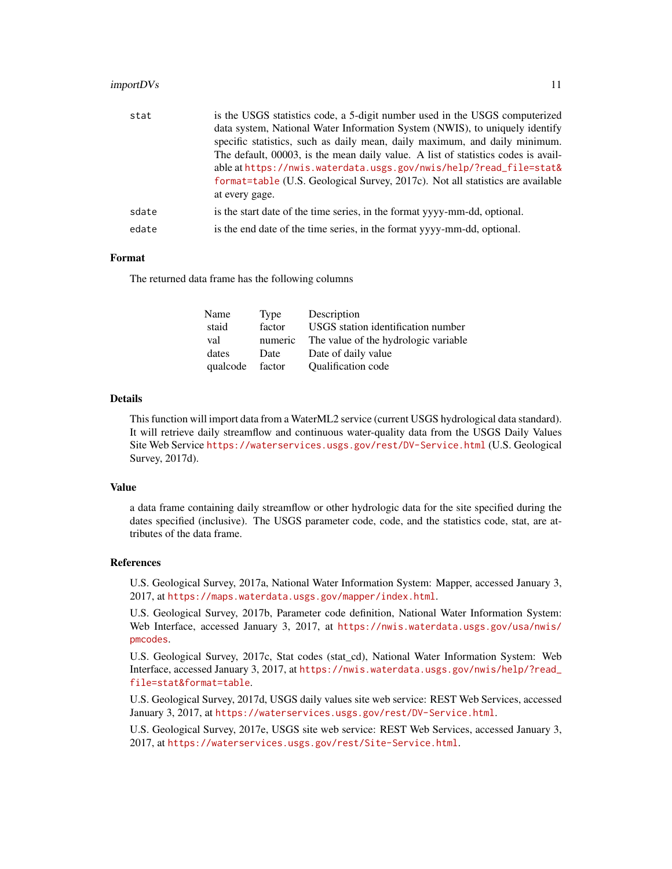#### importDVs 11

| stat  | is the USGS statistics code, a 5-digit number used in the USGS computerized       |
|-------|-----------------------------------------------------------------------------------|
|       | data system, National Water Information System (NWIS), to uniquely identify       |
|       | specific statistics, such as daily mean, daily maximum, and daily minimum.        |
|       | The default, 00003, is the mean daily value. A list of statistics codes is avail- |
|       | able at https://nwis.waterdata.usgs.gov/nwis/help/?read_file=stat&                |
|       | format=table (U.S. Geological Survey, 2017c). Not all statistics are available    |
|       | at every gage.                                                                    |
| sdate | is the start date of the time series, in the format yyyy-mm-dd, optional.         |
| edate | is the end date of the time series, in the format yyyy-mm-dd, optional.           |

#### Format

The returned data frame has the following columns

| Name     | Type    | Description                          |
|----------|---------|--------------------------------------|
| staid    | factor  | USGS station identification number   |
| val      | numeric | The value of the hydrologic variable |
| dates    | Date    | Date of daily value                  |
| qualcode | factor  | <b>Oualification code</b>            |

#### Details

This function will import data from a WaterML2 service (current USGS hydrological data standard). It will retrieve daily streamflow and continuous water-quality data from the USGS Daily Values Site Web Service <https://waterservices.usgs.gov/rest/DV-Service.html> (U.S. Geological Survey, 2017d).

#### Value

a data frame containing daily streamflow or other hydrologic data for the site specified during the dates specified (inclusive). The USGS parameter code, code, and the statistics code, stat, are attributes of the data frame.

#### References

U.S. Geological Survey, 2017a, National Water Information System: Mapper, accessed January 3, 2017, at <https://maps.waterdata.usgs.gov/mapper/index.html>.

U.S. Geological Survey, 2017b, Parameter code definition, National Water Information System: Web Interface, accessed January 3, 2017, at [https://nwis.waterdata.usgs.gov/usa/nwis/](https://nwis.waterdata.usgs.gov/usa/nwis/pmcodes) [pmcodes](https://nwis.waterdata.usgs.gov/usa/nwis/pmcodes).

U.S. Geological Survey, 2017c, Stat codes (stat\_cd), National Water Information System: Web Interface, accessed January 3, 2017, at [https://nwis.waterdata.usgs.gov/nwis/help/?read\\_](https://nwis.waterdata.usgs.gov/nwis/help/?read_file=stat&format=table) [file=stat&format=table](https://nwis.waterdata.usgs.gov/nwis/help/?read_file=stat&format=table).

U.S. Geological Survey, 2017d, USGS daily values site web service: REST Web Services, accessed January 3, 2017, at <https://waterservices.usgs.gov/rest/DV-Service.html>.

U.S. Geological Survey, 2017e, USGS site web service: REST Web Services, accessed January 3, 2017, at <https://waterservices.usgs.gov/rest/Site-Service.html>.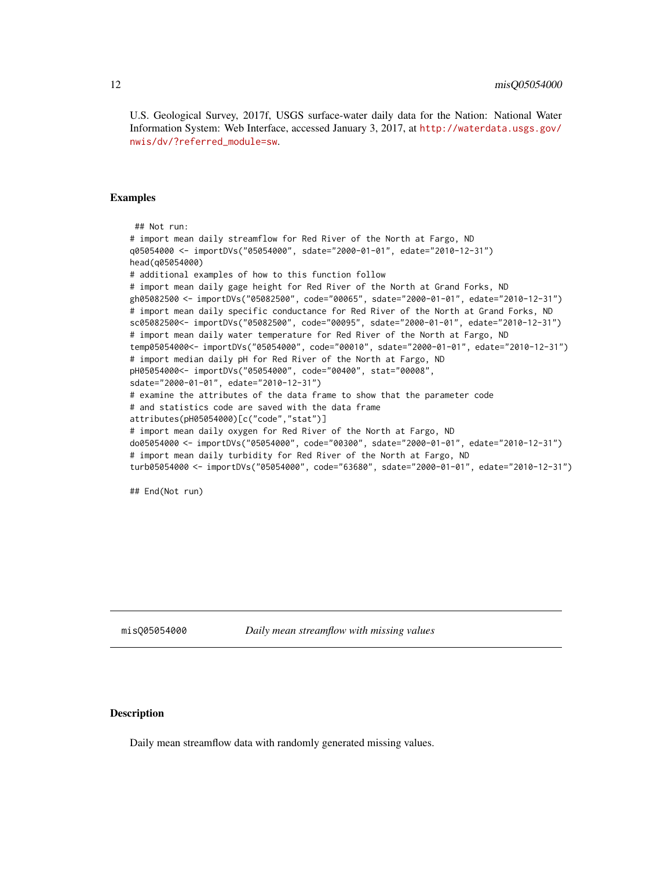<span id="page-11-0"></span>U.S. Geological Survey, 2017f, USGS surface-water daily data for the Nation: National Water Information System: Web Interface, accessed January 3, 2017, at [http://waterdata.usgs.gov/](http://waterdata.usgs.gov/nwis/dv/?referred_module=sw) [nwis/dv/?referred\\_module=sw](http://waterdata.usgs.gov/nwis/dv/?referred_module=sw).

#### Examples

```
## Not run:
# import mean daily streamflow for Red River of the North at Fargo, ND
q05054000 <- importDVs("05054000", sdate="2000-01-01", edate="2010-12-31")
head(q05054000)
# additional examples of how to this function follow
# import mean daily gage height for Red River of the North at Grand Forks, ND
gh05082500 <- importDVs("05082500", code="00065", sdate="2000-01-01", edate="2010-12-31")
# import mean daily specific conductance for Red River of the North at Grand Forks, ND
sc05082500<- importDVs("05082500", code="00095", sdate="2000-01-01", edate="2010-12-31")
# import mean daily water temperature for Red River of the North at Fargo, ND
temp05054000<- importDVs("05054000", code="00010", sdate="2000-01-01", edate="2010-12-31")
# import median daily pH for Red River of the North at Fargo, ND
pH05054000<- importDVs("05054000", code="00400", stat="00008",
sdate="2000-01-01", edate="2010-12-31")
# examine the attributes of the data frame to show that the parameter code
# and statistics code are saved with the data frame
attributes(pH05054000)[c("code","stat")]
# import mean daily oxygen for Red River of the North at Fargo, ND
do05054000 <- importDVs("05054000", code="00300", sdate="2000-01-01", edate="2010-12-31")
# import mean daily turbidity for Red River of the North at Fargo, ND
turb05054000 <- importDVs("05054000", code="63680", sdate="2000-01-01", edate="2010-12-31")
```
## End(Not run)

misQ05054000 *Daily mean streamflow with missing values*

#### **Description**

Daily mean streamflow data with randomly generated missing values.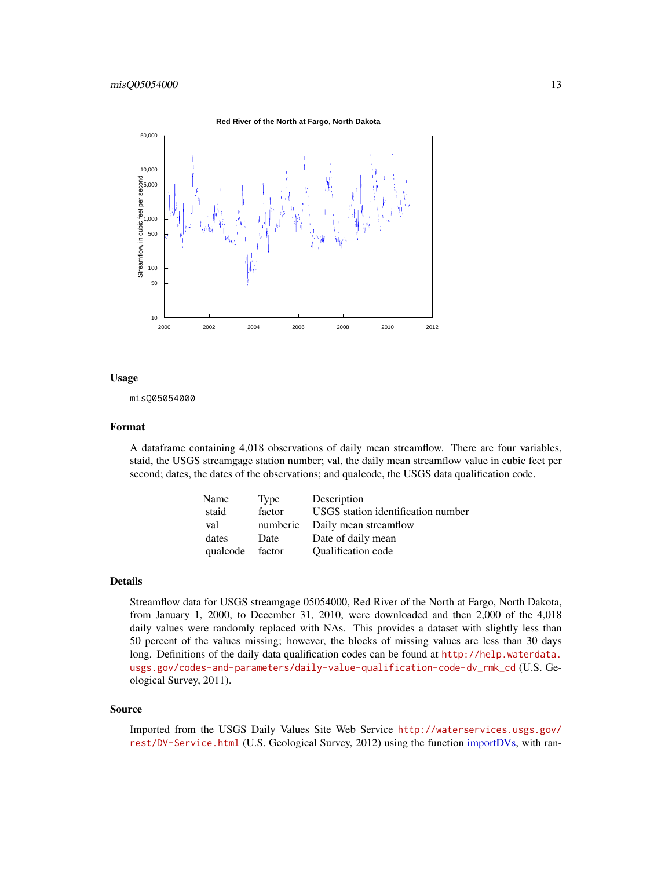<span id="page-12-0"></span>

#### Usage

misQ05054000

#### Format

A dataframe containing 4,018 observations of daily mean streamflow. There are four variables, staid, the USGS streamgage station number; val, the daily mean streamflow value in cubic feet per second; dates, the dates of the observations; and qualcode, the USGS data qualification code.

| Name     | Type     | Description                        |
|----------|----------|------------------------------------|
| staid    | factor   | USGS station identification number |
| val      | numberic | Daily mean streamflow              |
| dates    | Date     | Date of daily mean                 |
| qualcode | factor   | Qualification code                 |

#### Details

Streamflow data for USGS streamgage 05054000, Red River of the North at Fargo, North Dakota, from January 1, 2000, to December 31, 2010, were downloaded and then 2,000 of the 4,018 daily values were randomly replaced with NAs. This provides a dataset with slightly less than 50 percent of the values missing; however, the blocks of missing values are less than 30 days long. Definitions of the daily data qualification codes can be found at [http://help.waterdata.](http://help.waterdata.usgs.gov/codes-and-parameters/daily-value-qualification-code-dv_rmk_cd) [usgs.gov/codes-and-parameters/daily-value-qualification-code-dv\\_rmk\\_cd](http://help.waterdata.usgs.gov/codes-and-parameters/daily-value-qualification-code-dv_rmk_cd) (U.S. Geological Survey, 2011).

#### Source

Imported from the USGS Daily Values Site Web Service [http://waterservices.usgs.gov/](http://waterservices.usgs.gov/rest/DV-Service.html) [rest/DV-Service.html](http://waterservices.usgs.gov/rest/DV-Service.html) (U.S. Geological Survey, 2012) using the function [importDVs,](#page-9-1) with ran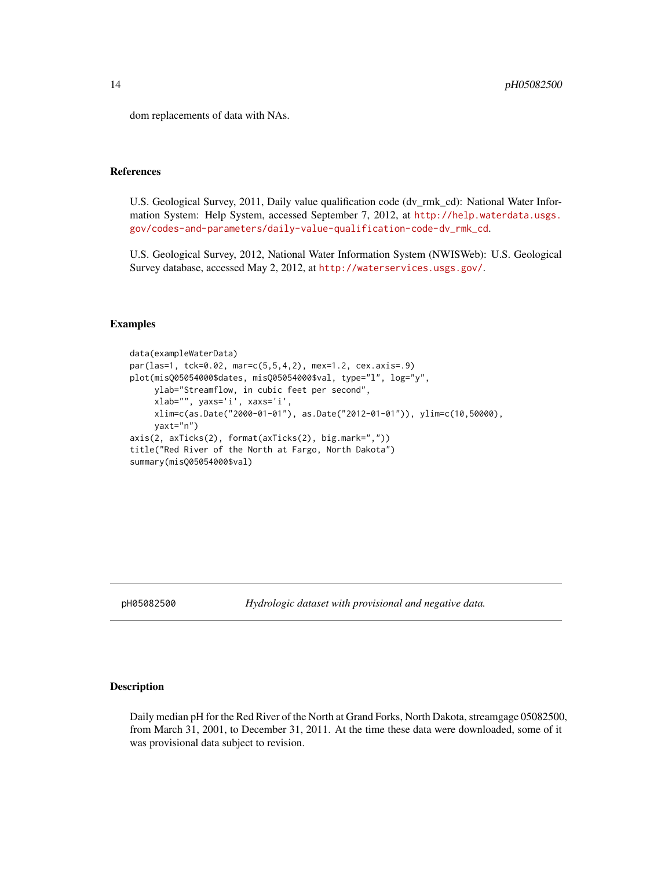<span id="page-13-0"></span>dom replacements of data with NAs.

#### **References**

U.S. Geological Survey, 2011, Daily value qualification code (dv\_rmk\_cd): National Water Information System: Help System, accessed September 7, 2012, at [http://help.waterdata.usgs.](http://help.waterdata.usgs.gov/codes-and-parameters/daily-value-qualification-code-dv_rmk_cd) [gov/codes-and-parameters/daily-value-qualification-code-dv\\_rmk\\_cd](http://help.waterdata.usgs.gov/codes-and-parameters/daily-value-qualification-code-dv_rmk_cd).

U.S. Geological Survey, 2012, National Water Information System (NWISWeb): U.S. Geological Survey database, accessed May 2, 2012, at <http://waterservices.usgs.gov/>.

#### Examples

```
data(exampleWaterData)
par(las=1, tck=0.02, mar=c(5,5,4,2), mex=1.2, cex.axis=.9)
plot(misQ05054000$dates, misQ05054000$val, type="l", log="y",
     ylab="Streamflow, in cubic feet per second",
     xlab="", yaxs='i', xaxs='i',
     xlim=c(as.Date("2000-01-01"), as.Date("2012-01-01")), ylim=c(10,50000),
     yaxt="n")
axis(2, axTicks(2), format(axTicks(2), big.mark=","))
title("Red River of the North at Fargo, North Dakota")
summary(misQ05054000$val)
```
pH05082500 *Hydrologic dataset with provisional and negative data.*

#### Description

Daily median pH for the Red River of the North at Grand Forks, North Dakota, streamgage 05082500, from March 31, 2001, to December 31, 2011. At the time these data were downloaded, some of it was provisional data subject to revision.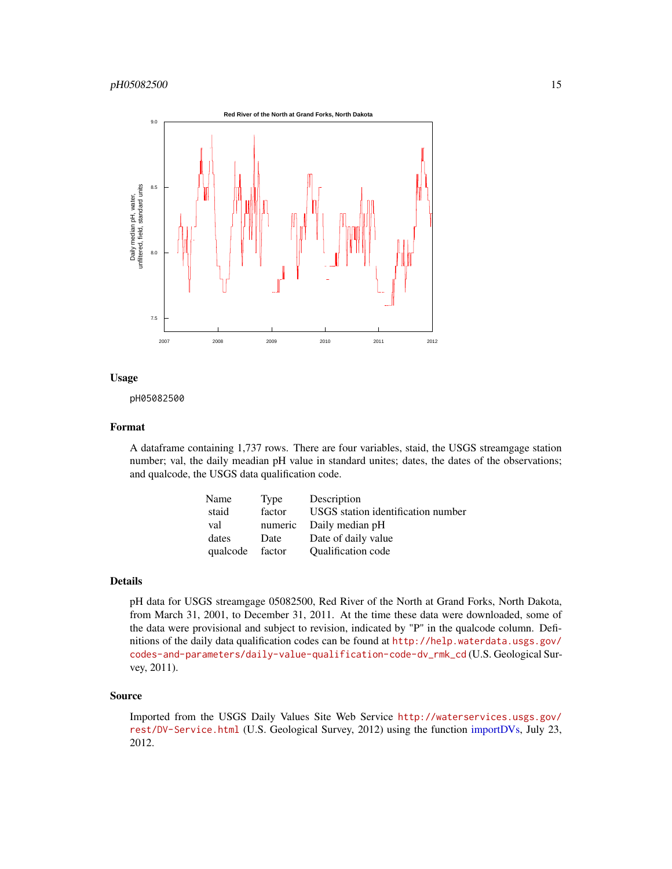<span id="page-14-0"></span>

#### Usage

pH05082500

#### Format

A dataframe containing 1,737 rows. There are four variables, staid, the USGS streamgage station number; val, the daily meadian pH value in standard unites; dates, the dates of the observations; and qualcode, the USGS data qualification code.

| Name     | Type    | Description                        |
|----------|---------|------------------------------------|
| staid    | factor  | USGS station identification number |
| val      | numeric | Daily median pH                    |
| dates    | Date    | Date of daily value                |
| qualcode | factor  | Qualification code                 |

#### Details

pH data for USGS streamgage 05082500, Red River of the North at Grand Forks, North Dakota, from March 31, 2001, to December 31, 2011. At the time these data were downloaded, some of the data were provisional and subject to revision, indicated by "P" in the qualcode column. Definitions of the daily data qualification codes can be found at [http://help.waterdata.usgs.gov/](http://help.waterdata.usgs.gov/codes-and-parameters/daily-value-qualification-code-dv_rmk_cd) [codes-and-parameters/daily-value-qualification-code-dv\\_rmk\\_cd](http://help.waterdata.usgs.gov/codes-and-parameters/daily-value-qualification-code-dv_rmk_cd) (U.S. Geological Survey, 2011).

#### Source

Imported from the USGS Daily Values Site Web Service [http://waterservices.usgs.gov/](http://waterservices.usgs.gov/rest/DV-Service.html) [rest/DV-Service.html](http://waterservices.usgs.gov/rest/DV-Service.html) (U.S. Geological Survey, 2012) using the function [importDVs,](#page-9-1) July 23, 2012.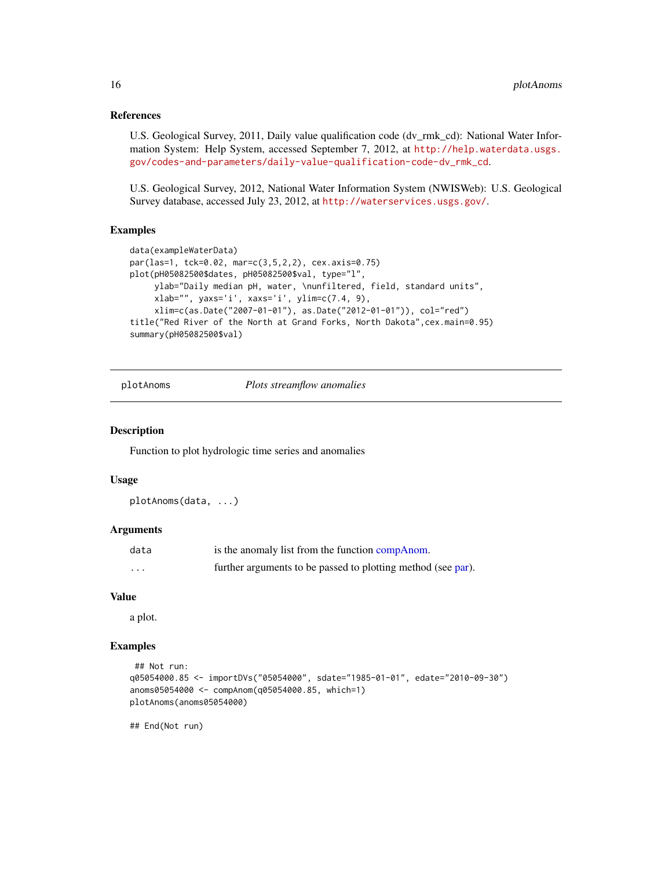#### <span id="page-15-0"></span>References

U.S. Geological Survey, 2011, Daily value qualification code (dv\_rmk\_cd): National Water Information System: Help System, accessed September 7, 2012, at [http://help.waterdata.usgs.](http://help.waterdata.usgs.gov/codes-and-parameters/daily-value-qualification-code-dv_rmk_cd) [gov/codes-and-parameters/daily-value-qualification-code-dv\\_rmk\\_cd](http://help.waterdata.usgs.gov/codes-and-parameters/daily-value-qualification-code-dv_rmk_cd).

U.S. Geological Survey, 2012, National Water Information System (NWISWeb): U.S. Geological Survey database, accessed July 23, 2012, at <http://waterservices.usgs.gov/>.

#### Examples

```
data(exampleWaterData)
par(las=1, tck=0.02, mar=c(3,5,2,2), cex.axis=0.75)
plot(pH05082500$dates, pH05082500$val, type="l",
    ylab="Daily median pH, water, \nunfiltered, field, standard units",
     xlab="", yaxs='i', xaxs='i', ylim=c(7.4, 9),
     xlim=c(as.Date("2007-01-01"), as.Date("2012-01-01")), col="red")
title("Red River of the North at Grand Forks, North Dakota",cex.main=0.95)
summary(pH05082500$val)
```
plotAnoms *Plots streamflow anomalies*

#### Description

Function to plot hydrologic time series and anomalies

#### Usage

plotAnoms(data, ...)

#### Arguments

| data    | is the anomaly list from the function compAnom.              |  |
|---------|--------------------------------------------------------------|--|
| $\cdot$ | further arguments to be passed to plotting method (see par). |  |

#### Value

a plot.

#### Examples

```
## Not run:
q05054000.85 <- importDVs("05054000", sdate="1985-01-01", edate="2010-09-30")
anoms05054000 <- compAnom(q05054000.85, which=1)
plotAnoms(anoms05054000)
```
## End(Not run)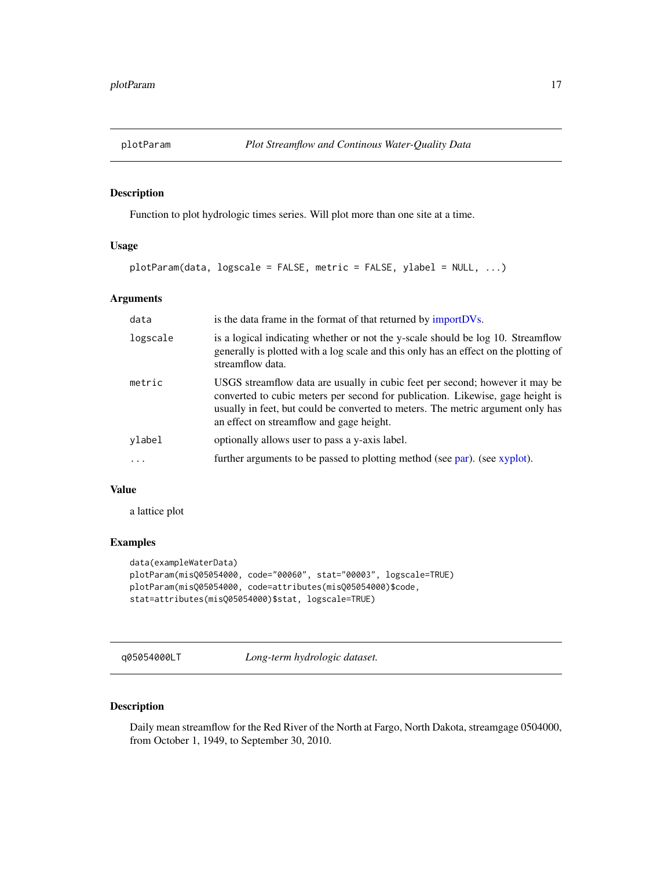<span id="page-16-0"></span>

#### Description

Function to plot hydrologic times series. Will plot more than one site at a time.

#### Usage

```
plotParam(data, logscale = FALSE, metric = FALSE, ylabel = NULL, ...)
```
#### Arguments

| data     | is the data frame in the format of that returned by importDVs.                                                                                                                                                                                                                                |
|----------|-----------------------------------------------------------------------------------------------------------------------------------------------------------------------------------------------------------------------------------------------------------------------------------------------|
| logscale | is a logical indicating whether or not the y-scale should be log 10. Streamflow<br>generally is plotted with a log scale and this only has an effect on the plotting of<br>streamflow data.                                                                                                   |
| metric   | USGS streamflow data are usually in cubic feet per second; however it may be<br>converted to cubic meters per second for publication. Likewise, gage height is<br>usually in feet, but could be converted to meters. The metric argument only has<br>an effect on streamflow and gage height. |
| ylabel   | optionally allows user to pass a y-axis label.                                                                                                                                                                                                                                                |
| .        | further arguments to be passed to plotting method (see par). (see xyplot).                                                                                                                                                                                                                    |

#### Value

a lattice plot

#### Examples

```
data(exampleWaterData)
plotParam(misQ05054000, code="00060", stat="00003", logscale=TRUE)
plotParam(misQ05054000, code=attributes(misQ05054000)$code,
stat=attributes(misQ05054000)$stat, logscale=TRUE)
```
q05054000LT *Long-term hydrologic dataset.*

#### Description

Daily mean streamflow for the Red River of the North at Fargo, North Dakota, streamgage 0504000, from October 1, 1949, to September 30, 2010.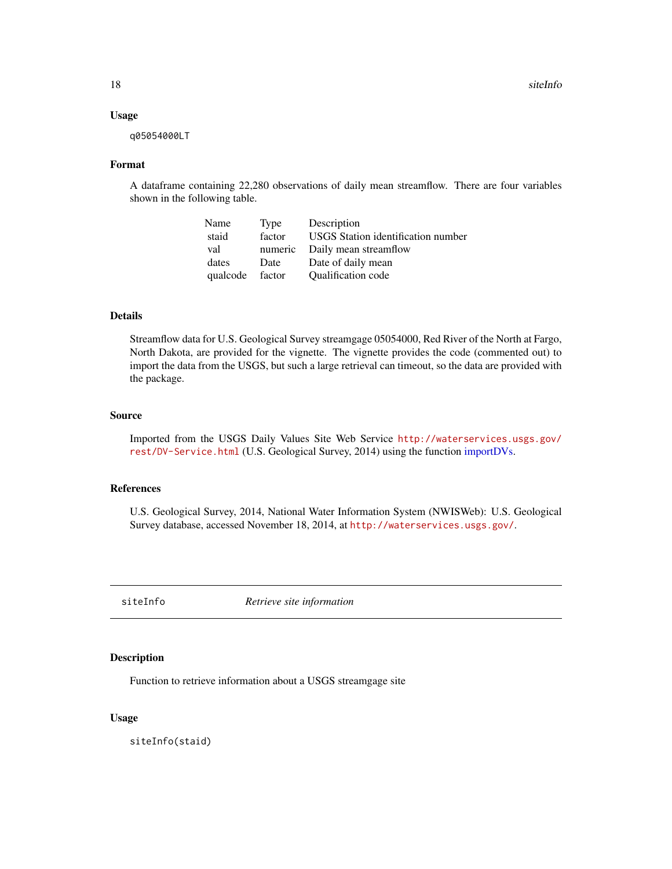<span id="page-17-0"></span>18 siteInfo

#### Usage

q05054000LT

#### Format

A dataframe containing 22,280 observations of daily mean streamflow. There are four variables shown in the following table.

| Name     | Type    | Description                               |
|----------|---------|-------------------------------------------|
| staid    | factor  | <b>USGS</b> Station identification number |
| val      | numeric | Daily mean streamflow                     |
| dates    | Date    | Date of daily mean                        |
| qualcode | factor  | Qualification code                        |

#### Details

Streamflow data for U.S. Geological Survey streamgage 05054000, Red River of the North at Fargo, North Dakota, are provided for the vignette. The vignette provides the code (commented out) to import the data from the USGS, but such a large retrieval can timeout, so the data are provided with the package.

#### Source

Imported from the USGS Daily Values Site Web Service [http://waterservices.usgs.gov/](http://waterservices.usgs.gov/rest/DV-Service.html) [rest/DV-Service.html](http://waterservices.usgs.gov/rest/DV-Service.html) (U.S. Geological Survey, 2014) using the function [importDVs.](#page-9-1)

#### References

U.S. Geological Survey, 2014, National Water Information System (NWISWeb): U.S. Geological Survey database, accessed November 18, 2014, at <http://waterservices.usgs.gov/>.

siteInfo *Retrieve site information*

#### Description

Function to retrieve information about a USGS streamgage site

#### Usage

siteInfo(staid)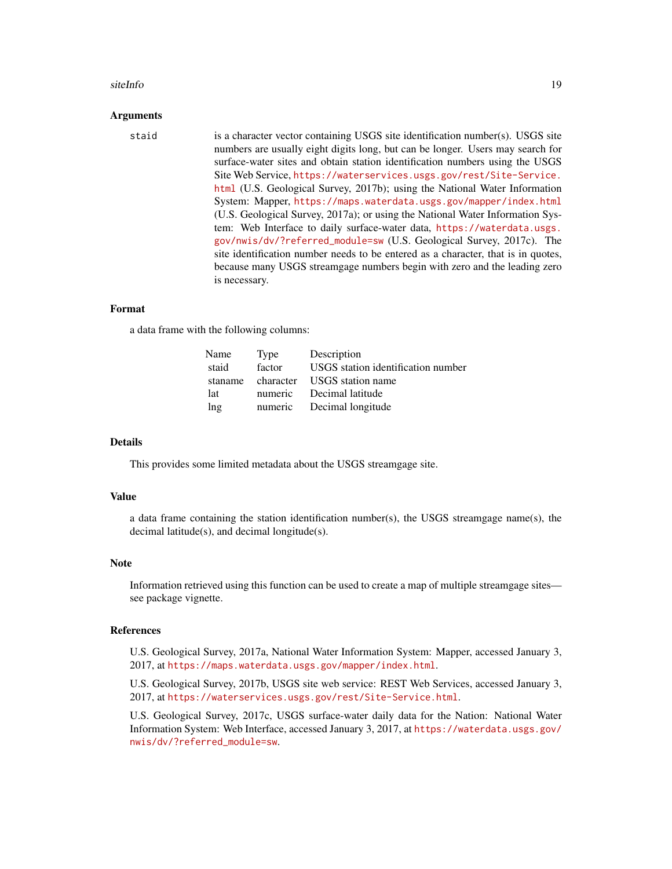#### siteInfo 19

#### Arguments

### staid is a character vector containing USGS site identification number(s). USGS site numbers are usually eight digits long, but can be longer. Users may search for surface-water sites and obtain station identification numbers using the USGS Site Web Service, [https://waterservices.usgs.gov/rest/Site-Service.](https://waterservices.usgs.gov/rest/Site-Service.html) [html](https://waterservices.usgs.gov/rest/Site-Service.html) (U.S. Geological Survey, 2017b); using the National Water Information System: Mapper, <https://maps.waterdata.usgs.gov/mapper/index.html> (U.S. Geological Survey, 2017a); or using the National Water Information System: Web Interface to daily surface-water data, [https://waterdata.usgs.](https://waterdata.usgs.gov/nwis/dv/?referred_module=sw) [gov/nwis/dv/?referred\\_module=sw](https://waterdata.usgs.gov/nwis/dv/?referred_module=sw) (U.S. Geological Survey, 2017c). The site identification number needs to be entered as a character, that is in quotes, because many USGS streamgage numbers begin with zero and the leading zero is necessary.

#### Format

a data frame with the following columns:

| Name    | Type    | Description                        |
|---------|---------|------------------------------------|
| staid   | factor  | USGS station identification number |
| staname |         | character USGS station name        |
| 1at     | numeric | Decimal latitude                   |
| lng     | numeric | Decimal longitude                  |

#### Details

This provides some limited metadata about the USGS streamgage site.

#### Value

a data frame containing the station identification number(s), the USGS streamgage name(s), the decimal latitude(s), and decimal longitude(s).

#### Note

Information retrieved using this function can be used to create a map of multiple streamgage sites see package vignette.

#### References

U.S. Geological Survey, 2017a, National Water Information System: Mapper, accessed January 3, 2017, at <https://maps.waterdata.usgs.gov/mapper/index.html>.

U.S. Geological Survey, 2017b, USGS site web service: REST Web Services, accessed January 3, 2017, at <https://waterservices.usgs.gov/rest/Site-Service.html>.

U.S. Geological Survey, 2017c, USGS surface-water daily data for the Nation: National Water Information System: Web Interface, accessed January 3, 2017, at [https://waterdata.usgs.gov/](https://waterdata.usgs.gov/nwis/dv/?referred_module=sw) [nwis/dv/?referred\\_module=sw](https://waterdata.usgs.gov/nwis/dv/?referred_module=sw).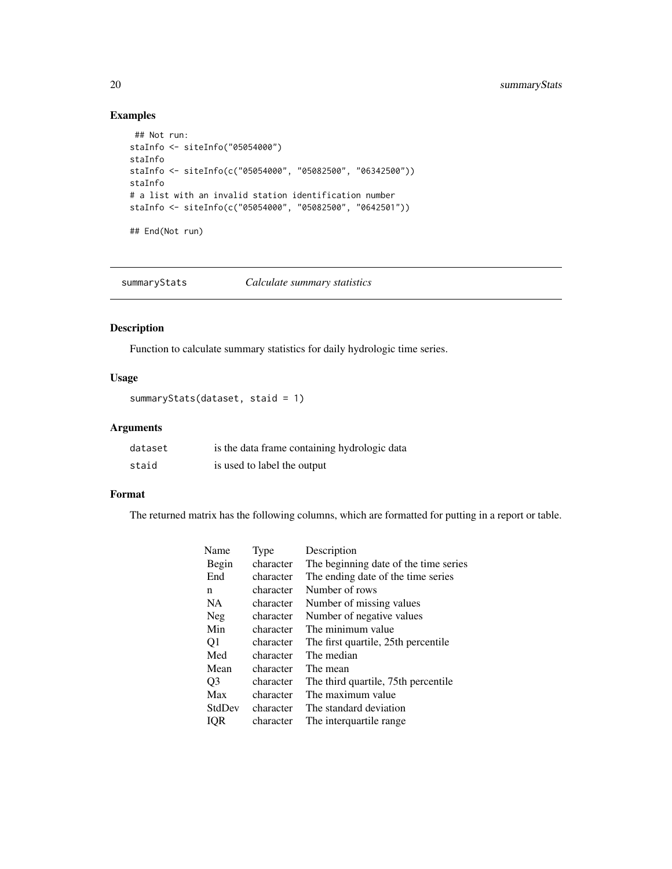### Examples

```
## Not run:
staInfo <- siteInfo("05054000")
staInfo
staInfo <- siteInfo(c("05054000", "05082500", "06342500"))
staInfo
# a list with an invalid station identification number
staInfo <- siteInfo(c("05054000", "05082500", "0642501"))
## End(Not run)
```
summaryStats *Calculate summary statistics*

#### Description

Function to calculate summary statistics for daily hydrologic time series.

#### Usage

```
summaryStats(dataset, staid = 1)
```
#### Arguments

| dataset | is the data frame containing hydrologic data |
|---------|----------------------------------------------|
| staid   | is used to label the output                  |

#### Format

The returned matrix has the following columns, which are formatted for putting in a report or table.

| Name   | Type      | Description                           |
|--------|-----------|---------------------------------------|
| Begin  | character | The beginning date of the time series |
| End    | character | The ending date of the time series    |
| n      | character | Number of rows                        |
| NA.    | character | Number of missing values              |
| Neg    | character | Number of negative values             |
| Min    | character | The minimum value                     |
| Q1     | character | The first quartile, 25th percentile.  |
| Med    | character | The median                            |
| Mean   | character | The mean                              |
| O3     | character | The third quartile, 75th percentile   |
| Max    | character | The maximum value                     |
| StdDev | character | The standard deviation                |
| IQR    | character | The interquartile range               |

<span id="page-19-0"></span>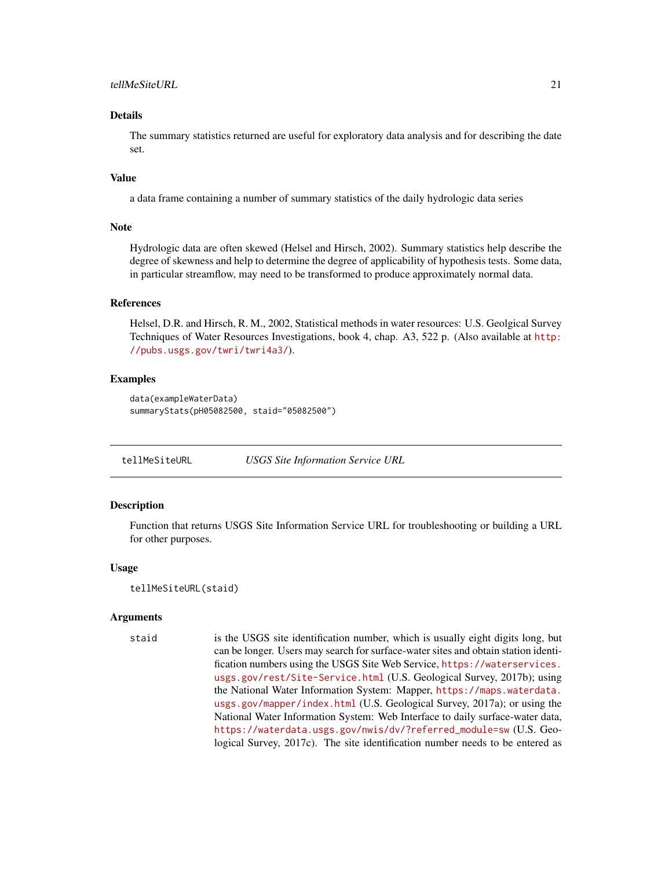#### <span id="page-20-0"></span>Details

The summary statistics returned are useful for exploratory data analysis and for describing the date set.

#### Value

a data frame containing a number of summary statistics of the daily hydrologic data series

#### Note

Hydrologic data are often skewed (Helsel and Hirsch, 2002). Summary statistics help describe the degree of skewness and help to determine the degree of applicability of hypothesis tests. Some data, in particular streamflow, may need to be transformed to produce approximately normal data.

#### References

Helsel, D.R. and Hirsch, R. M., 2002, Statistical methods in water resources: U.S. Geolgical Survey Techniques of Water Resources Investigations, book 4, chap. A3, 522 p. (Also available at [http:](http://pubs.usgs.gov/twri/twri4a3/) [//pubs.usgs.gov/twri/twri4a3/](http://pubs.usgs.gov/twri/twri4a3/)).

#### Examples

```
data(exampleWaterData)
summaryStats(pH05082500, staid="05082500")
```
tellMeSiteURL *USGS Site Information Service URL*

#### Description

Function that returns USGS Site Information Service URL for troubleshooting or building a URL for other purposes.

#### Usage

tellMeSiteURL(staid)

#### Arguments

staid is the USGS site identification number, which is usually eight digits long, but can be longer. Users may search for surface-water sites and obtain station identification numbers using the USGS Site Web Service, [https://waterservices.](https://waterservices.usgs.gov/rest/Site-Service.html) [usgs.gov/rest/Site-Service.html](https://waterservices.usgs.gov/rest/Site-Service.html) (U.S. Geological Survey, 2017b); using the National Water Information System: Mapper, [https://maps.waterdata.](https://maps.waterdata.usgs.gov/mapper/index.html) [usgs.gov/mapper/index.html](https://maps.waterdata.usgs.gov/mapper/index.html) (U.S. Geological Survey, 2017a); or using the National Water Information System: Web Interface to daily surface-water data, [https://waterdata.usgs.gov/nwis/dv/?referred\\_module=sw](https://waterdata.usgs.gov/nwis/dv/?referred_module=sw) (U.S. Geological Survey, 2017c). The site identification number needs to be entered as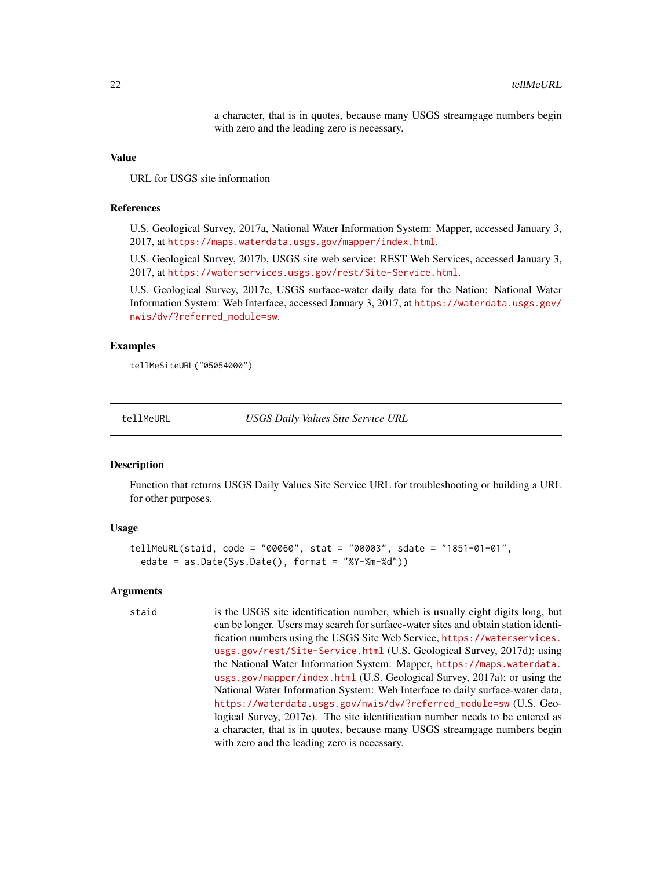a character, that is in quotes, because many USGS streamgage numbers begin with zero and the leading zero is necessary.

#### <span id="page-21-0"></span>Value

URL for USGS site information

#### References

U.S. Geological Survey, 2017a, National Water Information System: Mapper, accessed January 3, 2017, at <https://maps.waterdata.usgs.gov/mapper/index.html>.

U.S. Geological Survey, 2017b, USGS site web service: REST Web Services, accessed January 3, 2017, at <https://waterservices.usgs.gov/rest/Site-Service.html>.

U.S. Geological Survey, 2017c, USGS surface-water daily data for the Nation: National Water Information System: Web Interface, accessed January 3, 2017, at [https://waterdata.usgs.gov/](https://waterdata.usgs.gov/nwis/dv/?referred_module=sw) [nwis/dv/?referred\\_module=sw](https://waterdata.usgs.gov/nwis/dv/?referred_module=sw).

#### Examples

tellMeSiteURL("05054000")

tellMeURL *USGS Daily Values Site Service URL*

#### Description

Function that returns USGS Daily Values Site Service URL for troubleshooting or building a URL for other purposes.

#### Usage

```
tellMeURL(staid, code = "00060", stat = "00003", sdate = "1851-01-01",
  edate = as.Date(Sys.Date(), format = "%Y-%m-%d"))
```
#### Arguments

staid is the USGS site identification number, which is usually eight digits long, but can be longer. Users may search for surface-water sites and obtain station identification numbers using the USGS Site Web Service, [https://waterservices.](https://waterservices.usgs.gov/rest/Site-Service.html) [usgs.gov/rest/Site-Service.html](https://waterservices.usgs.gov/rest/Site-Service.html) (U.S. Geological Survey, 2017d); using the National Water Information System: Mapper, [https://maps.waterdata.](https://maps.waterdata.usgs.gov/mapper/index.html) [usgs.gov/mapper/index.html](https://maps.waterdata.usgs.gov/mapper/index.html) (U.S. Geological Survey, 2017a); or using the National Water Information System: Web Interface to daily surface-water data, [https://waterdata.usgs.gov/nwis/dv/?referred\\_module=sw](https://waterdata.usgs.gov/nwis/dv/?referred_module=sw) (U.S. Geological Survey, 2017e). The site identification number needs to be entered as a character, that is in quotes, because many USGS streamgage numbers begin with zero and the leading zero is necessary.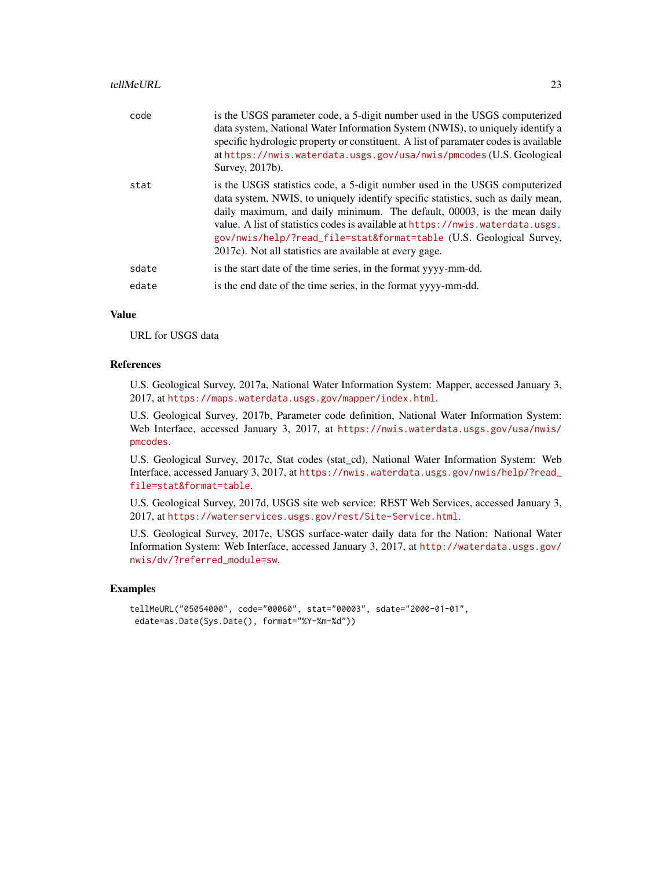#### tellMeURL 23

| code  | is the USGS parameter code, a 5-digit number used in the USGS computerized<br>data system, National Water Information System (NWIS), to uniquely identify a<br>specific hydrologic property or constituent. A list of paramater codes is available<br>at https://nwis.waterdata.usgs.gov/usa/nwis/pmcodes(U.S. Geological<br>Survey, 2017b).                                                                                                                   |
|-------|----------------------------------------------------------------------------------------------------------------------------------------------------------------------------------------------------------------------------------------------------------------------------------------------------------------------------------------------------------------------------------------------------------------------------------------------------------------|
| stat  | is the USGS statistics code, a 5-digit number used in the USGS computerized<br>data system, NWIS, to uniquely identify specific statistics, such as daily mean,<br>daily maximum, and daily minimum. The default, 00003, is the mean daily<br>value. A list of statistics codes is available at https://nwis.waterdata.usgs.<br>gov/nwis/help/?read_file=stat&format=table (U.S. Geological Survey,<br>2017c). Not all statistics are available at every gage. |
| sdate | is the start date of the time series, in the format yyyy-mm-dd.                                                                                                                                                                                                                                                                                                                                                                                                |
| edate | is the end date of the time series, in the format yyyy-mm-dd.                                                                                                                                                                                                                                                                                                                                                                                                  |

#### Value

URL for USGS data

#### References

U.S. Geological Survey, 2017a, National Water Information System: Mapper, accessed January 3, 2017, at <https://maps.waterdata.usgs.gov/mapper/index.html>.

U.S. Geological Survey, 2017b, Parameter code definition, National Water Information System: Web Interface, accessed January 3, 2017, at [https://nwis.waterdata.usgs.gov/usa/nwis/](https://nwis.waterdata.usgs.gov/usa/nwis/pmcodes) [pmcodes](https://nwis.waterdata.usgs.gov/usa/nwis/pmcodes).

U.S. Geological Survey, 2017c, Stat codes (stat\_cd), National Water Information System: Web Interface, accessed January 3, 2017, at [https://nwis.waterdata.usgs.gov/nwis/help/?read\\_](https://nwis.waterdata.usgs.gov/nwis/help/?read_file=stat&format=table) [file=stat&format=table](https://nwis.waterdata.usgs.gov/nwis/help/?read_file=stat&format=table).

U.S. Geological Survey, 2017d, USGS site web service: REST Web Services, accessed January 3, 2017, at <https://waterservices.usgs.gov/rest/Site-Service.html>.

U.S. Geological Survey, 2017e, USGS surface-water daily data for the Nation: National Water Information System: Web Interface, accessed January 3, 2017, at [http://waterdata.usgs.gov/](http://waterdata.usgs.gov/nwis/dv/?referred_module=sw) [nwis/dv/?referred\\_module=sw](http://waterdata.usgs.gov/nwis/dv/?referred_module=sw).

#### Examples

```
tellMeURL("05054000", code="00060", stat="00003", sdate="2000-01-01",
edate=as.Date(Sys.Date(), format="%Y-%m-%d"))
```